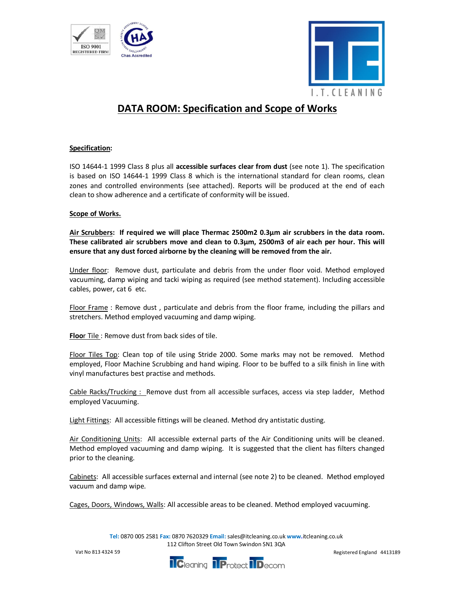



## DATA ROOM: Specification and Scope of Works

## Specification:

ISO 14644-1 1999 Class 8 plus all accessible surfaces clear from dust (see note 1). The specification is based on ISO 14644-1 1999 Class 8 which is the international standard for clean rooms, clean zones and controlled environments (see attached). Reports will be produced at the end of each clean to show adherence and a certificate of conformity will be issued.

## Scope of Works.

Air Scrubbers: If required we will place Thermac 2500m2 0.3µm air scrubbers in the data room. These calibrated air scrubbers move and clean to 0.3µm, 2500m3 of air each per hour. This will ensure that any dust forced airborne by the cleaning will be removed from the air.

Under floor: Remove dust, particulate and debris from the under floor void. Method employed vacuuming, damp wiping and tacki wiping as required (see method statement). Including accessible cables, power, cat 6 etc.

Floor Frame : Remove dust , particulate and debris from the floor frame, including the pillars and stretchers. Method employed vacuuming and damp wiping.

Floor Tile : Remove dust from back sides of tile.

Floor Tiles Top: Clean top of tile using Stride 2000. Some marks may not be removed. Method employed, Floor Machine Scrubbing and hand wiping. Floor to be buffed to a silk finish in line with vinyl manufactures best practise and methods.

Cable Racks/Trucking : Remove dust from all accessible surfaces, access via step ladder, Method employed Vacuuming.

Light Fittings: All accessible fittings will be cleaned. Method dry antistatic dusting.

Air Conditioning Units: All accessible external parts of the Air Conditioning units will be cleaned. Method employed vacuuming and damp wiping. It is suggested that the client has filters changed prior to the cleaning.

Cabinets: All accessible surfaces external and internal (see note 2) to be cleaned. Method employed vacuum and damp wipe.

Cages, Doors, Windows, Walls: All accessible areas to be cleaned. Method employed vacuuming.

Tel: 0870 005 2581 Fax: 0870 7620329 Email: sales@itcleaning.co.uk www.itcleaning.co.uk 112 Clifton Street Old Town Swindon SN1 3QA